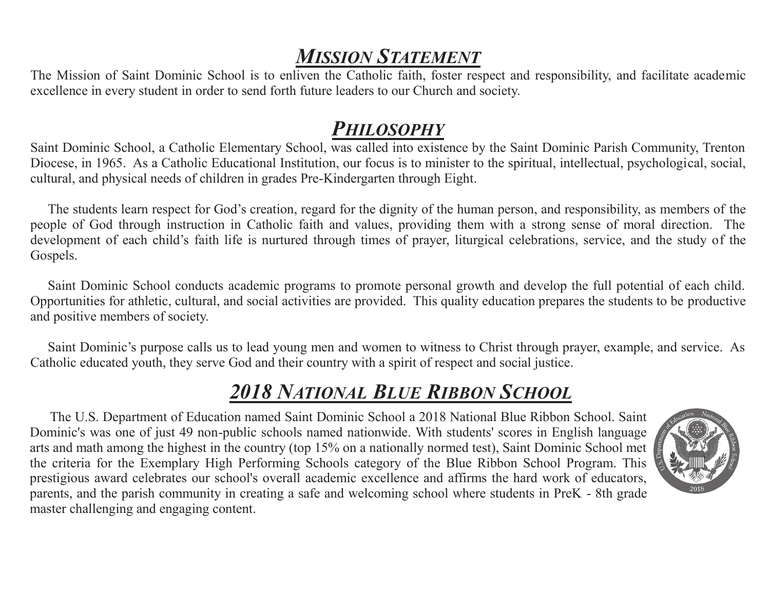# *MISSION STATEMENT*

The Mission of Saint Dominic School is to enliven the Catholic faith, foster respect and responsibility, and facilitate academic excellence in every student in order to send forth future leaders to our Church and society.

## *PHILOSOPHY*

Saint Dominic School, a Catholic Elementary School, was called into existence by the Saint Dominic Parish Community, Trenton Diocese, in 1965. As a Catholic Educational Institution, our focus is to minister to the spiritual, intellectual, psychological, social, cultural, and physical needs of children in grades Pre-Kindergarten through Eight.

The students learn respect for God's creation, regard for the dignity of the human person, and responsibility, as members of the people of God through instruction in Catholic faith and values, providing them with a strong sense of moral direction. The development of each child's faith life is nurtured through times of prayer, liturgical celebrations, service, and the study of the Gospels.

Saint Dominic School conducts academic programs to promote personal growth and develop the full potential of each child. Opportunities for athletic, cultural, and social activities are provided. This quality education prepares the students to be productive and positive members of society.

Saint Dominic's purpose calls us to lead young men and women to witness to Christ through prayer, example, and service. As Catholic educated youth, they serve God and their country with a spirit of respect and social justice.

# *2018 NATIONAL BLUE RIBBON SCHOOL*

 The U.S. Department of Education named Saint Dominic School a 2018 National Blue Ribbon School. Saint Dominic's was one of just 49 non-public schools named nationwide. With students' scores in English language arts and math among the highest in the country (top 15% on a nationally normed test), Saint Dominic School met the criteria for the Exemplary High Performing Schools category of the Blue Ribbon School Program. This prestigious award celebrates our school's overall academic excellence and affirms the hard work of educators, parents, and the parish community in creating a safe and welcoming school where students in PreK - 8th grade master challenging and engaging content.

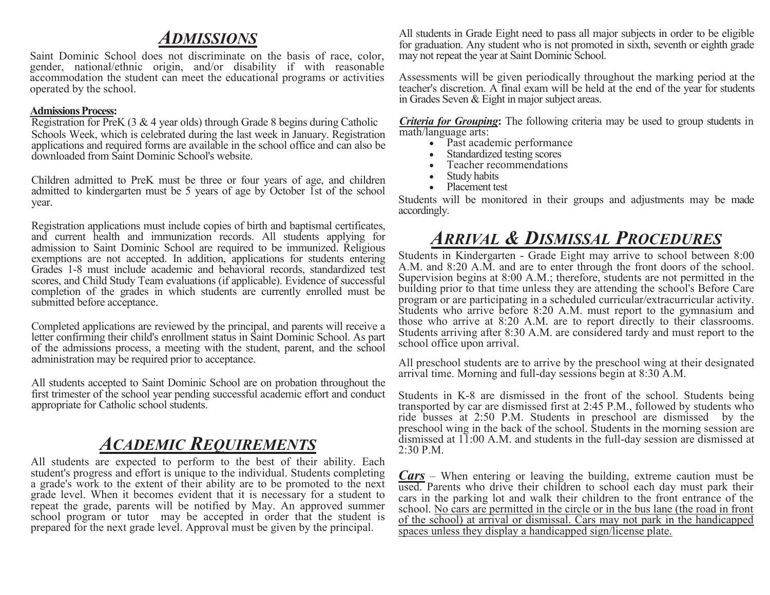#### *ADMISSIONS*

Saint Dominic School does not discriminate on the basis of race, color, gender, national/ethnic origin, and/or disability if with reasonable accommodation the student can meet the educational programs or activities operated by the school.

#### **Admissions Process:**

Registration for PreK (3 & 4 year olds) through Grade 8 begins during Catholic Schools Week, which is celebrated during the last week in January. Registration applications and required forms are available in the school office and can also be downloaded from Saint Dominic School's website.

Children admitted to PreK must be three or four years of age, and children admitted to kindergarten must be 5 years of age by October 1st of the school year.

Registration applications must include copies of birth and baptismal certificates, and current health and immunization records. All students applying for admission to Saint Dominic School are required to be immunized. Religious exemptions are not accepted. In addition, applications for students entering Grades 1-8 must include academic and behavioral records, standardized test scores, and Child Study Team evaluations (if applicable). Evidence of successful completion of the grades in which students are currently enrolled must be submitted before acceptance.

Completed applications are reviewed by the principal, and parents will receive a letter confirming their child's enrollment status in Saint Dominic School. As part of the admissions process, a meeting with the student, parent, and the school administration may be required prior to acceptance.

All students accepted to Saint Dominic School are on probation throughout the first trimester of the school year pending successful academic effort and conduct appropriate for Catholic school students.

#### *ACADEMIC REQUIREMENTS*

All students are expected to perform to the best of their ability. Each student's progress and effort is unique to the individual. Students completing a grade's work to the extent of their ability are to be promoted to the next grade level. When it becomes evident that it is necessary for a student to repeat the grade, parents will be notified by May. An approved summer school program or tutor may be accepted in order that the student is prepared for the next grade level. Approval must be given by the principal.

All students in Grade Eight need to pass all major subjects in order to be eligible for graduation. Any student who is not promoted in sixth, seventh or eighth grade may not repeat the year at Saint Dominic School.

Assessments will be given periodically throughout the marking period at the teacher's discretion. A final exam will be held at the end of the year for students in Grades Seven & Eight in major subject areas.

*Criteria for Grouping***:** The following criteria may be used to group students in math/language arts:

- Past academic performance
- Standardized testing scores
- Teacher recommendations
- Study habits
- Placement test

Students will be monitored in their groups and adjustments may be made accordingly.

#### *ARRIVAL & DISMISSAL PROCEDURES*

Students in Kindergarten - Grade Eight may arrive to school between 8:00 A.M. and 8:20 A.M. and are to enter through the front doors of the school. Supervision begins at 8:00 A.M.; therefore, students are not permitted in the building prior to that time unless they are attending the school's Before Care program or are participating in a scheduled curricular/extracurricular activity. Students who arrive before 8:20 A.M. must report to the gymnasium and those who arrive at 8:20 A.M. are to report directly to their classrooms. Students arriving after 8:30 A.M. are considered tardy and must report to the school office upon arrival.

All preschool students are to arrive by the preschool wing at their designated arrival time. Morning and full-day sessions begin at 8:30 A.M.

Students in K-8 are dismissed in the front of the school. Students being transported by car are dismissed first at 2:45 P.M., followed by students who ride busses at 2:50 P.M. Students in preschool are dismissed by the preschool wing in the back of the school. Students in the morning session are dismissed at 11:00 A.M. and students in the full-day session are dismissed at 2:30 P.M.

*Cars* – When entering or leaving the building, extreme caution must be used. Parents who drive their children to school each day must park their cars in the parking lot and walk their children to the front entrance of the school. No cars are permitted in the circle or in the bus lane (the road in front of the school) at arrival or dismissal. Cars may not park in the handicapped spaces unless they display a handicapped sign/license plate.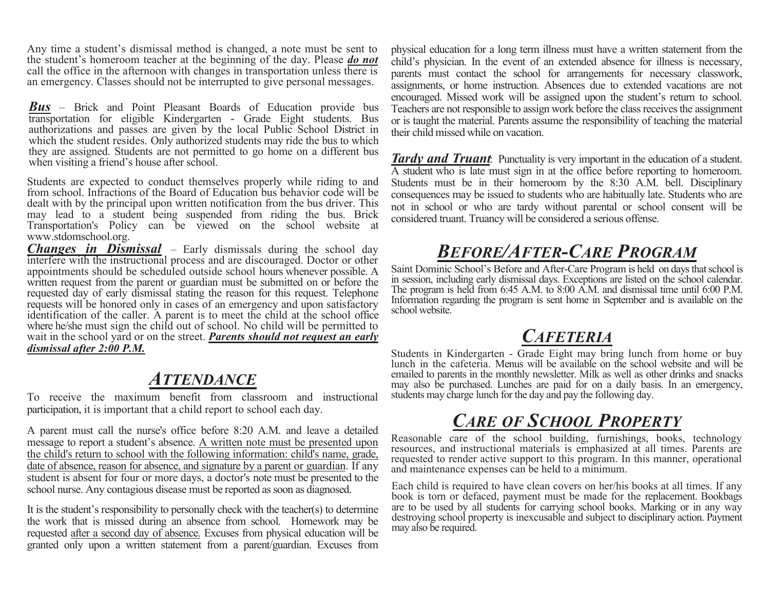Any time a student's dismissal method is changed, a note must be sent to the student's homeroom teacher at the beginning of the day. Please *do not* call the office in the afternoon with changes in transportation unless there is an emergency. Classes should not be interrupted to give personal messages.

*Bus* – Brick and Point Pleasant Boards of Education provide bus transportation for eligible Kindergarten - Grade Eight students. Bus authorizations and passes are given by the local Public School District in which the student resides. Only authorized students may ride the bus to which they are assigned. Students are not permitted to go home on a different bus when visiting a friend's house after school.

Students are expected to conduct themselves properly while riding to and from school. Infractions of the Board of Education bus behavior code will be dealt with by the principal upon written notification from the bus driver. This may lead to a student being suspended from riding the bus. Brick Transportation's Policy can be viewed on the school website at www.stdomschool.org.

*Changes in Dismissal* – Early dismissals during the school day interfere with the instructional process and are discouraged. Doctor or other appointments should be scheduled outside school hours whenever possible. A written request from the parent or guardian must be submitted on or before the requested day of early dismissal stating the reason for this request. Telephone requests will be honored only in cases of an emergency and upon satisfactory identification of the caller. A parent is to meet the child at the school office where he/she must sign the child out of school. No child will be permitted to wait in the school yard or on the street. *Parents should not request an early dismissal after 2:00 P.M.*

#### *ATTENDANCE*

To receive the maximum benefit from classroom and instructional participation, it is important that a child report to school each day.

A parent must call the nurse's office before 8:20 A.M. and leave a detailed message to report a student's absence. A written note must be presented upon the child's return to school with the following information: child's name, grade, date of absence, reason for absence, and signature by a parent or guardian. If any student is absent for four or more days, a doctor's note must be presented to the school nurse. Any contagious disease must be reported as soon as diagnosed.

It is the student's responsibility to personally check with the teacher(s) to determine the work that is missed during an absence from school. Homework may be requested after a second day of absence. Excuses from physical education will be granted only upon a written statement from a parent/guardian. Excuses from

physical education for a long term illness must have a written statement from the child's physician. In the event of an extended absence for illness is necessary, parents must contact the school for arrangements for necessary classwork, assignments, or home instruction. Absences due to extended vacations are not encouraged. Missed work will be assigned upon the student's return to school. Teachers are not responsible to assign work before the class receives the assignment or is taught the material. Parents assume the responsibility of teaching the material their child missed while on vacation.

*Tardy and Truant*: Punctuality is very important in the education of a student. A student who is late must sign in at the office before reporting to homeroom. Students must be in their homeroom by the 8:30 A.M. bell. Disciplinary consequences may be issued to students who are habitually late. Students who are not in school or who are tardy without parental or school consent will be considered truant. Truancy will be considered a serious offense.

## *BEFORE/AFTER-CARE PROGRAM*

Saint Dominic School's Before and After-Care Program is held on days that school is in session, including early dismissal days. Exceptions are listed on the school calendar. The program is held from 6:45 A.M. to 8:00 A.M. and dismissal time until 6:00 P.M. Information regarding the program is sent home in September and is available on the school website.

#### *CAFETERIA*

Students in Kindergarten - Grade Eight may bring lunch from home or buy lunch in the cafeteria. Menus will be available on the school website and will be emailed to parents in the monthly newsletter. Milk as well as other drinks and snacks may also be purchased. Lunches are paid for on a daily basis. In an emergency, students may charge lunch for the day and pay the following day.

## *CARE OF SCHOOL PROPERTY*

Reasonable care of the school building, furnishings, books, technology resources, and instructional materials is emphasized at all times. Parents are requested to render active support to this program. In this manner, operational and maintenance expenses can be held to a minimum.

Each child is required to have clean covers on her/his books at all times. If any book is torn or defaced, payment must be made for the replacement. Bookbags are to be used by all students for carrying school books. Marking or in any way destroying school property is inexcusable and subject to disciplinary action. Payment may also be required.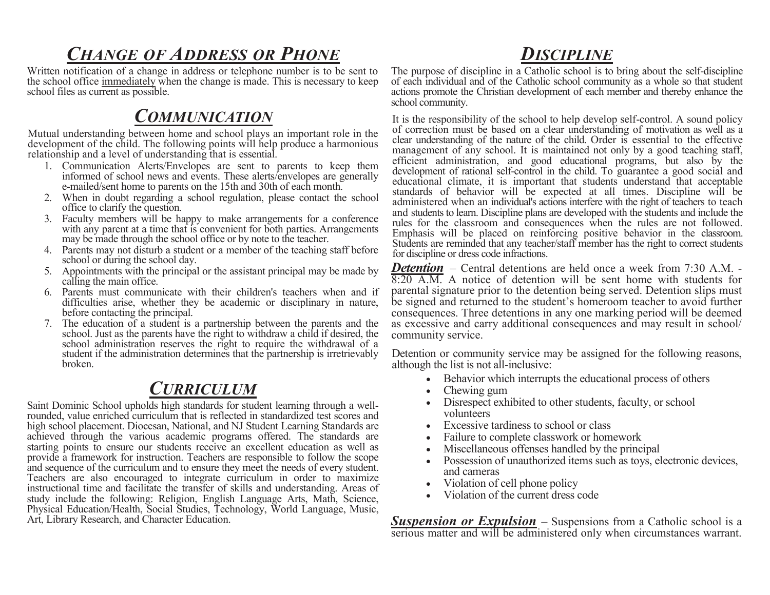## *CHANGE OF ADDRESS OR PHONE*

Written notification of a change in address or telephone number is to be sent to the school office immediately when the change is made. This is necessary to keep school files as current as possible.

#### *COMMUNICATION*

Mutual understanding between home and school plays an important role in the development of the child. The following points will help produce a harmonious relationship and a level of understanding that is essential.

- 1. Communication Alerts/Envelopes are sent to parents to keep them informed of school news and events. These alerts/envelopes are generally e-mailed/sent home to parents on the 15th and 30th of each month.
- 2. When in doubt regarding a school regulation, please contact the school office to clarify the question.
- 3. Faculty members will be happy to make arrangements for a conference with any parent at a time that is convenient for both parties. Arrangements may be made through the school office or by note to the teacher.
- 4. Parents may not disturb a student or a member of the teaching staff before school or during the school day.
- 5. Appointments with the principal or the assistant principal may be made by calling the main office.
- 6. Parents must communicate with their children's teachers when and if difficulties arise, whether they be academic or disciplinary in nature, before contacting the principal.
- 7. The education of a student is a partnership between the parents and the school. Just as the parents have the right to withdraw a child if desired, the school administration reserves the right to require the withdrawal of a student if the administration determines that the partnership is irretrievably broken.

### *CURRICULUM*

Saint Dominic School upholds high standards for student learning through a wellrounded, value enriched curriculum that is reflected in standardized test scores and high school placement. Diocesan, National, and NJ Student Learning Standards are achieved through the various academic programs offered. The standards are starting points to ensure our students receive an excellent education as well as provide a framework for instruction. Teachers are responsible to follow the scope and sequence of the curriculum and to ensure they meet the needs of every student. Teachers are also encouraged to integrate curriculum in order to maximize instructional time and facilitate the transfer of skills and understanding. Areas of study include the following: Religion, English Language Arts, Math, Science, Physical Education/Health, Social Studies, Technology, World Language, Music, Art, Library Research, and Character Education.

## *DISCIPLINE*

The purpose of discipline in a Catholic school is to bring about the self-discipline of each individual and of the Catholic school community as a whole so that student actions promote the Christian development of each member and thereby enhance the school community.

It is the responsibility of the school to help develop self-control. A sound policy of correction must be based on a clear understanding of motivation as well as a clear understanding of the nature of the child. Order is essential to the effective management of any school. It is maintained not only by a good teaching staff, efficient administration, and good educational programs, but also by the development of rational self-control in the child. To guarantee a good social and educational climate, it is important that students understand that acceptable standards of behavior will be expected at all times. Discipline will be administered when an individual's actions interfere with the right of teachers to teach and students to learn. Discipline plans are developed with the students and include the rules for the classroom and consequences when the rules are not followed. Emphasis will be placed on reinforcing positive behavior in the classroom. Students are reminded that any teacher/staff member has the right to correct students for discipline or dress code infractions.

*Detention* – Central detentions are held once a week from 7:30 A.M. -8:20 A.M. A notice of detention will be sent home with students for parental signature prior to the detention being served. Detention slips must be signed and returned to the student's homeroom teacher to avoid further consequences. Three detentions in any one marking period will be deemed as excessive and carry additional consequences and may result in school/ community service.

Detention or community service may be assigned for the following reasons, although the list is not all-inclusive:

- Behavior which interrupts the educational process of others
- Chewing gum
- Disrespect exhibited to other students, faculty, or school volunteers
- Excessive tardiness to school or class
- Failure to complete classwork or homework
- Miscellaneous offenses handled by the principal
- Possession of unauthorized items such as toys, electronic devices, and cameras
- Violation of cell phone policy
- Violation of the current dress code

**Suspension or Expulsion** – Suspensions from a Catholic school is a serious matter and will be administered only when circumstances warrant.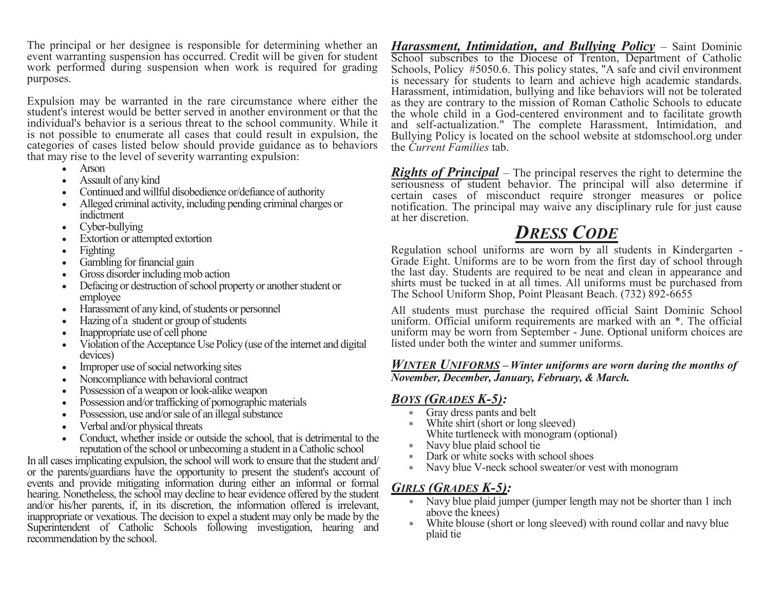The principal or her designee is responsible for determining whether an event warranting suspension has occurred. Credit will be given for student work performed during suspension when work is required for grading purposes.

Expulsion may be warranted in the rare circumstance where either the student's interest would be better served in another environment or that the individual's behavior is a serious threat to the school community. While it is not possible to enumerate all cases that could result in expulsion, the categories of cases listed below should provide guidance as to behaviors that may rise to the level of severity warranting expulsion:

- Arson
- Assault of any kind
- Continued and willful disobedience or/defiance of authority
- Alleged criminal activity, including pending criminal charges or indictment
- Cyber-bullying
- Extortion or attempted extortion
- Fighting
- Gambling for financial gain
- Gross disorder including mob action
- Defacing or destruction of school property or another student or employee
- Harassment of any kind, of students or personnel
- Hazing of a student or group of students
- Inappropriate use of cell phone
- Violation of the Acceptance Use Policy (use of the internet and digital devices)
- Improper use of social networking sites
- Noncompliance with behavioral contract
- Possession of a weapon or look-alike weapon
- Possession and/or trafficking of pornographic materials
- Possession, use and/or sale of an illegal substance
- Verbal and/or physical threats
- Conduct, whether inside or outside the school, that is detrimental to the reputation of the school or unbecoming a student in a Catholic school

In all cases implicating expulsion, the school will work to ensure that the student and/ or the parents/guardians have the opportunity to present the student's account of events and provide mitigating information during either an informal or formal hearing. Nonetheless, the school may decline to hear evidence offered by the student and/or his/her parents, if, in its discretion, the information offered is irrelevant, inappropriate or vexatious. The decision to expel a student may only be made by the Superintendent of Catholic Schools following investigation, hearing and recommendation by the school.

*Harassment, Intimidation, and Bullying Policy* – Saint Dominic School subscribes to the Diocese of Trenton, Department of Catholic Schools, Policy #5050.6. This policy states, "A safe and civil environment is necessary for students to learn and achieve high academic standards. Harassment, intimidation, bullying and like behaviors will not be tolerated as they are contrary to the mission of Roman Catholic Schools to educate the whole child in a God-centered environment and to facilitate growth and self-actualization." The complete Harassment, Intimidation, and Bullying Policy is located on the school website at stdomschool.org under the *Current Families* tab.

*Rights of Principal* – The principal reserves the right to determine the seriousness of student behavior. The principal will also determine if certain cases of misconduct require stronger measures or police notification. The principal may waive any disciplinary rule for just cause at her discretion.

## *DRESS CODE*

Regulation school uniforms are worn by all students in Kindergarten - Grade Eight. Uniforms are to be worn from the first day of school through the last day. Students are required to be neat and clean in appearance and shirts must be tucked in at all times. All uniforms must be purchased from The School Uniform Shop, Point Pleasant Beach. (732) 892-6655

All students must purchase the required official Saint Dominic School uniform. Official uniform requirements are marked with an \*. The official uniform may be worn from September - June. Optional uniform choices are listed under both the winter and summer uniforms.

#### *WINTER UNIFORMS* **–** *Winter uniforms are worn during the months of November, December, January, February, & March.*

#### *BOYS (GRADES K-5):*

- Gray dress pants and belt
- White shirt (short or long sleeved) White turtleneck with monogram (optional)
- Navy blue plaid school tie
- Dark or white socks with school shoes
- Navy blue V-neck school sweater/or vest with monogram

#### *GIRLS (GRADES K-5):*

- \* Navy blue plaid jumper (jumper length may not be shorter than 1 inch above the knees)
- White blouse (short or long sleeved) with round collar and navy blue plaid tie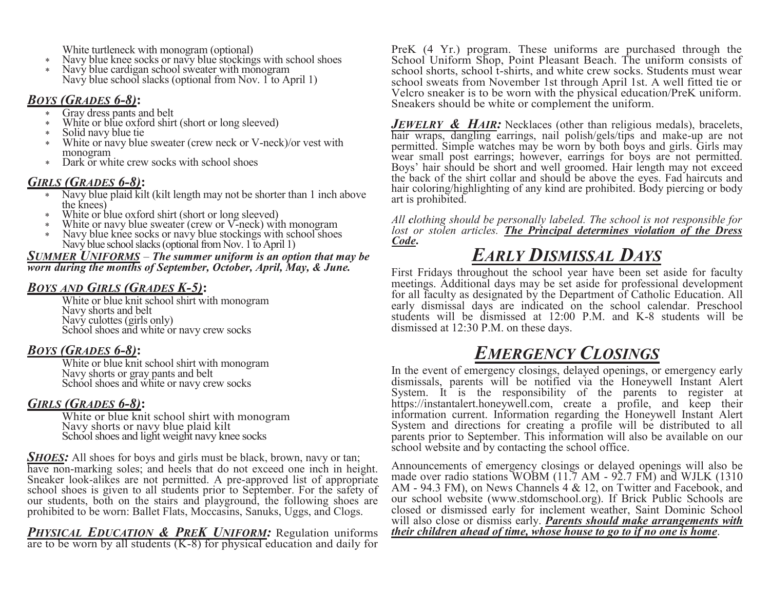White turtleneck with monogram (optional)

- \* Navy blue knee socks or navy blue stockings with school shoes
- Navy blue cardigan school sweater with monogram Navy blue school slacks (optional from Nov. 1 to April 1)

#### *BOYS (GRADES 6-8)***:**

- Gray dress pants and belt
- White or blue oxford shirt (short or long sleeved)
- Solid navy blue tie
- White or navy blue sweater (crew neck or V-neck)/or vest with monogram
- Dark or white crew socks with school shoes

#### *GIRLS (GRADES 6-8)***:**

- Navy blue plaid kilt (kilt length may not be shorter than 1 inch above the knees)
- White or blue oxford shirt (short or long sleeved)
- White or navy blue sweater (crew or V-neck) with monogram
- Navy blue knee socks or navy blue stockings with school shoes Navy blue school slacks (optional from Nov. 1 to April 1)

#### *SUMMER UNIFORMS* – *The summer uniform is an option that may be worn during the months of September, October, April, May, & June.*

#### *BOYS AND GIRLS (GRADES K-5)***:**

White or blue knit school shirt with monogram Navy shorts and belt Navy culottes (girls only) School shoes and white or navy crew socks

#### *BOYS (GRADES 6-8)***:**

White or blue knit school shirt with monogram Navy shorts or gray pants and belt School shoes and white or navy crew socks

#### *GIRLS (GRADES 6-8)***:**

White or blue knit school shirt with monogram Navy shorts or navy blue plaid kilt School shoes and light weight navy knee socks

*SHOES*: All shoes for boys and girls must be black, brown, navy or tan; have non-marking soles; and heels that do not exceed one inch in height. Sneaker look-alikes are not permitted. A pre-approved list of appropriate school shoes is given to all students prior to September. For the safety of our students, both on the stairs and playground, the following shoes are prohibited to be worn: Ballet Flats, Moccasins, Sanuks, Uggs, and Clogs.

*PHYSICAL EDUCATION & PREK UNIFORM:* Regulation uniforms are to be worn by all students (K-8) for physical education and daily for PreK (4 Yr.) program. These uniforms are purchased through the School Uniform Shop, Point Pleasant Beach. The uniform consists of school shorts, school t-shirts, and white crew socks. Students must wear school sweats from November 1st through April 1st. A well fitted tie or Velcro sneaker is to be worn with the physical education/PreK uniform. Sneakers should be white or complement the uniform.

*JEWELRY & HAIR:* Necklaces (other than religious medals), bracelets, hair wraps, dangling earrings, nail polish/gels/tips and make-up are not permitted. Simple watches may be worn by both boys and girls. Girls may wear small post earrings; however, earrings for boys are not permitted. Boys' hair should be short and well groomed. Hair length may not exceed the back of the shirt collar and should be above the eyes. Fad haircuts and hair coloring/highlighting of any kind are prohibited. Body piercing or body art is prohibited.

*All clothing should be personally labeled. The school is not responsible for lost or stolen articles. The Principal determines violation of the Dress Code***.**

# *EARLY DISMISSAL DAYS*

First Fridays throughout the school year have been set aside for faculty meetings. Additional days may be set aside for professional development for all faculty as designated by the Department of Catholic Education. All early dismissal days are indicated on the school calendar. Preschool students will be dismissed at 12:00 P.M. and K-8 students will be dismissed at 12:30 P.M. on these days.

## *EMERGENCY CLOSINGS*

In the event of emergency closings, delayed openings, or emergency early dismissals, parents will be notified via the Honeywell Instant Alert System. It is the responsibility of the parents to register at https://instantalert.honeywell.com, create a profile, and keep their information current. Information regarding the Honeywell Instant Alert System and directions for creating a profile will be distributed to all parents prior to September. This information will also be available on our school website and by contacting the school office.

Announcements of emergency closings or delayed openings will also be made over radio stations WOBM (11.7 AM - 92.7 FM) and WJLK (1310 AM - 94.3 FM), on News Channels 4 & 12, on Twitter and Facebook, and our school website (www.stdomschool.org). If Brick Public Schools are closed or dismissed early for inclement weather, Saint Dominic School will also close or dismiss early. *Parents should make arrangements with their children ahead of time, whose house to go to if no one is home*.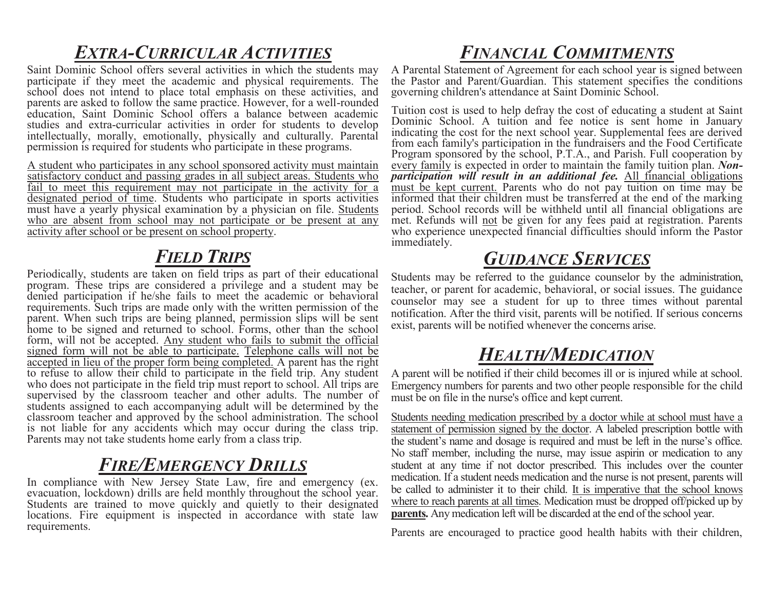# *EXTRA-CURRICULAR ACTIVITIES*

Saint Dominic School offers several activities in which the students may participate if they meet the academic and physical requirements. The school does not intend to place total emphasis on these activities, and parents are asked to follow the same practice. However, for a well-rounded education, Saint Dominic School offers a balance between academic studies and extra-curricular activities in order for students to develop intellectually, morally, emotionally, physically and culturally. Parental permission is required for students who participate in these programs.

A student who participates in any school sponsored activity must maintain satisfactory conduct and passing grades in all subject areas. Students who fail to meet this requirement may not participate in the activity for a designated period of time. Students who participate in sports activities must have a yearly physical examination by a physician on file. Students who are absent from school may not participate or be present at any activity after school or be present on school property.

## *FIELD TRIPS*

Periodically, students are taken on field trips as part of their educational program. These trips are considered a privilege and a student may be denied participation if he/she fails to meet the academic or behavioral requirements. Such trips are made only with the written permission of the parent. When such trips are being planned, permission slips will be sent home to be signed and returned to school. Forms, other than the school form, will not be accepted. Any student who fails to submit the official signed form will not be able to participate. Telephone calls will not be accepted in lieu of the proper form being completed. A parent has the right to refuse to allow their child to participate in the field trip. Any student who does not participate in the field trip must report to school. All trips are supervised by the classroom teacher and other adults. The number of students assigned to each accompanying adult will be determined by the classroom teacher and approved by the school administration. The school is not liable for any accidents which may occur during the class trip. Parents may not take students home early from a class trip.

#### *FIRE/EMERGENCY DRILLS*

In compliance with New Jersey State Law, fire and emergency (ex. evacuation, lockdown) drills are held monthly throughout the school year. Students are trained to move quickly and quietly to their designated locations. Fire equipment is inspected in accordance with state law requirements.

# *FINANCIAL COMMITMENTS*

A Parental Statement of Agreement for each school year is signed between the Pastor and Parent/Guardian. This statement specifies the conditions governing children's attendance at Saint Dominic School.

Tuition cost is used to help defray the cost of educating a student at Saint Dominic School. A tuition and fee notice is sent home in January indicating the cost for the next school year. Supplemental fees are derived from each family's participation in the fundraisers and the Food Certificate Program sponsored by the school, P.T.A., and Parish. Full cooperation by every family is expected in order to maintain the family tuition plan. *Nonparticipation will result in an additional fee.* All financial obligations must be kept current. Parents who do not pay tuition on time may be informed that their children must be transferred at the end of the marking period. School records will be withheld until all financial obligations are met. Refunds will not be given for any fees paid at registration. Parents who experience unexpected financial difficulties should inform the Pastor immediately.

## *GUIDANCE SERVICES*

Students may be referred to the guidance counselor by the administration, teacher, or parent for academic, behavioral, or social issues. The guidance counselor may see a student for up to three times without parental notification. After the third visit, parents will be notified. If serious concerns exist, parents will be notified whenever the concerns arise.

### *HEALTH/MEDICATION*

A parent will be notified if their child becomes ill or is injured while at school. Emergency numbers for parents and two other people responsible for the child must be on file in the nurse's office and kept current.

Students needing medication prescribed by a doctor while at school must have a statement of permission signed by the doctor. A labeled prescription bottle with the student's name and dosage is required and must be left in the nurse's office. No staff member, including the nurse, may issue aspirin or medication to any student at any time if not doctor prescribed. This includes over the counter medication. If a student needs medication and the nurse is not present, parents will be called to administer it to their child. It is imperative that the school knows where to reach parents at all times. Medication must be dropped off/picked up by **parents.** Any medication left will be discarded at the end of the school year.

Parents are encouraged to practice good health habits with their children,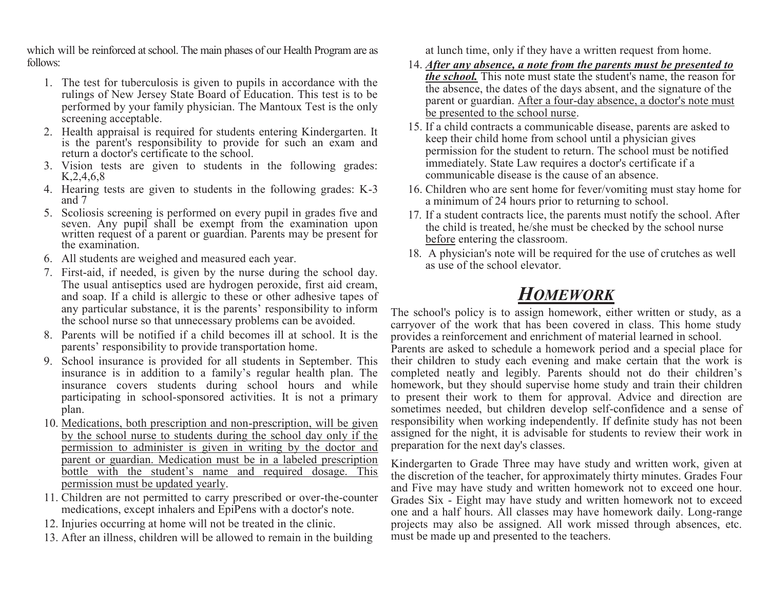which will be reinforced at school. The main phases of our Health Program are as follows:

- 1. The test for tuberculosis is given to pupils in accordance with the rulings of New Jersey State Board of Education. This test is to be performed by your family physician. The Mantoux Test is the only screening acceptable.
- 2. Health appraisal is required for students entering Kindergarten. It is the parent's responsibility to provide for such an exam and return a doctor's certificate to the school.
- 3. Vision tests are given to students in the following grades: K,2,4,6,8
- 4. Hearing tests are given to students in the following grades: K-3 and 7
- 5. Scoliosis screening is performed on every pupil in grades five and seven. Any pupil shall be exempt from the examination upon written request of a parent or guardian. Parents may be present for the examination.
- 6. All students are weighed and measured each year.
- 7. First-aid, if needed, is given by the nurse during the school day. The usual antiseptics used are hydrogen peroxide, first aid cream, and soap. If a child is allergic to these or other adhesive tapes of any particular substance, it is the parents' responsibility to inform the school nurse so that unnecessary problems can be avoided.
- 8. Parents will be notified if a child becomes ill at school. It is the parents' responsibility to provide transportation home.
- 9. School insurance is provided for all students in September. This insurance is in addition to a family's regular health plan. The insurance covers students during school hours and while participating in school-sponsored activities. It is not a primary plan.
- 10. Medications, both prescription and non-prescription, will be given by the school nurse to students during the school day only if the permission to administer is given in writing by the doctor and parent or guardian. Medication must be in a labeled prescription bottle with the student's name and required dosage. This permission must be updated yearly.
- 11. Children are not permitted to carry prescribed or over-the-counter medications, except inhalers and EpiPens with a doctor's note.
- 12. Injuries occurring at home will not be treated in the clinic.
- 13. After an illness, children will be allowed to remain in the building

at lunch time, only if they have a written request from home.

- 14. *After any absence, a note from the parents must be presented to the school.* This note must state the student's name, the reason for the absence, the dates of the days absent, and the signature of the parent or guardian. After a four-day absence, a doctor's note must be presented to the school nurse.
- 15. If a child contracts a communicable disease, parents are asked to keep their child home from school until a physician gives permission for the student to return. The school must be notified immediately. State Law requires a doctor's certificate if a communicable disease is the cause of an absence.
- 16. Children who are sent home for fever/vomiting must stay home for a minimum of 24 hours prior to returning to school.
- 17. If a student contracts lice, the parents must notify the school. After the child is treated, he/she must be checked by the school nurse before entering the classroom.
- 18. A physician's note will be required for the use of crutches as well as use of the school elevator.

### *HOMEWORK*

The school's policy is to assign homework, either written or study, as a carryover of the work that has been covered in class. This home study provides a reinforcement and enrichment of material learned in school.

Parents are asked to schedule a homework period and a special place for their children to study each evening and make certain that the work is completed neatly and legibly. Parents should not do their children's homework, but they should supervise home study and train their children to present their work to them for approval. Advice and direction are sometimes needed, but children develop self-confidence and a sense of responsibility when working independently. If definite study has not been assigned for the night, it is advisable for students to review their work in preparation for the next day's classes.

Kindergarten to Grade Three may have study and written work, given at the discretion of the teacher, for approximately thirty minutes. Grades Four and Five may have study and written homework not to exceed one hour. Grades Six - Eight may have study and written homework not to exceed one and a half hours. All classes may have homework daily. Long-range projects may also be assigned. All work missed through absences, etc. must be made up and presented to the teachers.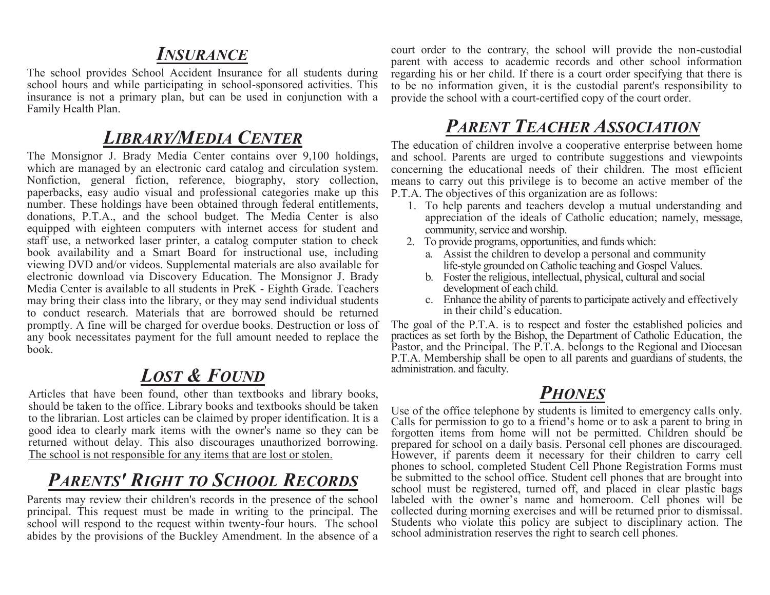#### *INSURANCE*

The school provides School Accident Insurance for all students during school hours and while participating in school-sponsored activities. This insurance is not a primary plan, but can be used in conjunction with a Family Health Plan.

#### *LIBRARY/MEDIA CENTER*

The Monsignor J. Brady Media Center contains over 9,100 holdings, which are managed by an electronic card catalog and circulation system. Nonfiction, general fiction, reference, biography, story collection, paperbacks, easy audio visual and professional categories make up this number. These holdings have been obtained through federal entitlements, donations, P.T.A., and the school budget. The Media Center is also equipped with eighteen computers with internet access for student and staff use, a networked laser printer, a catalog computer station to check book availability and a Smart Board for instructional use, including viewing DVD and/or videos. Supplemental materials are also available for electronic download via Discovery Education. The Monsignor J. Brady Media Center is available to all students in PreK - Eighth Grade. Teachers may bring their class into the library, or they may send individual students to conduct research. Materials that are borrowed should be returned promptly. A fine will be charged for overdue books. Destruction or loss of any book necessitates payment for the full amount needed to replace the book.

## *LOST & FOUND*

Articles that have been found, other than textbooks and library books, should be taken to the office. Library books and textbooks should be taken to the librarian. Lost articles can be claimed by proper identification. It is a good idea to clearly mark items with the owner's name so they can be returned without delay. This also discourages unauthorized borrowing. The school is not responsible for any items that are lost or stolen.

## *PARENTS' RIGHT TO SCHOOL RECORDS*

Parents may review their children's records in the presence of the school principal. This request must be made in writing to the principal. The school will respond to the request within twenty-four hours. The school abides by the provisions of the Buckley Amendment. In the absence of a

court order to the contrary, the school will provide the non-custodial parent with access to academic records and other school information regarding his or her child. If there is a court order specifying that there is to be no information given, it is the custodial parent's responsibility to provide the school with a court-certified copy of the court order.

## *PARENT TEACHER ASSOCIATION*

The education of children involve a cooperative enterprise between home and school. Parents are urged to contribute suggestions and viewpoints concerning the educational needs of their children. The most efficient means to carry out this privilege is to become an active member of the P.T.A. The objectives of this organization are as follows:

- 1. To help parents and teachers develop a mutual understanding and appreciation of the ideals of Catholic education; namely, message, community, service and worship.
- 2. To provide programs, opportunities, and funds which:
	- a. Assist the children to develop a personal and community life-style grounded on Catholic teaching and Gospel Values.
	- b. Foster the religious, intellectual, physical, cultural and social development of each child.
	- c. Enhance the ability of parents to participate actively and effectively in their child's education.

The goal of the P.T.A. is to respect and foster the established policies and practices as set forth by the Bishop, the Department of Catholic Education, the Pastor, and the Principal. The P.T.A. belongs to the Regional and Diocesan P.T.A. Membership shall be open to all parents and guardians of students, the administration. and faculty.

#### *PHONES*

Use of the office telephone by students is limited to emergency calls only. Calls for permission to go to a friend's home or to ask a parent to bring in forgotten items from home will not be permitted. Children should be prepared for school on a daily basis. Personal cell phones are discouraged. However, if parents deem it necessary for their children to carry cell phones to school, completed Student Cell Phone Registration Forms must be submitted to the school office. Student cell phones that are brought into school must be registered, turned off, and placed in clear plastic bags labeled with the owner's name and homeroom. Cell phones will be collected during morning exercises and will be returned prior to dismissal. Students who violate this policy are subject to disciplinary action. The school administration reserves the right to search cell phones.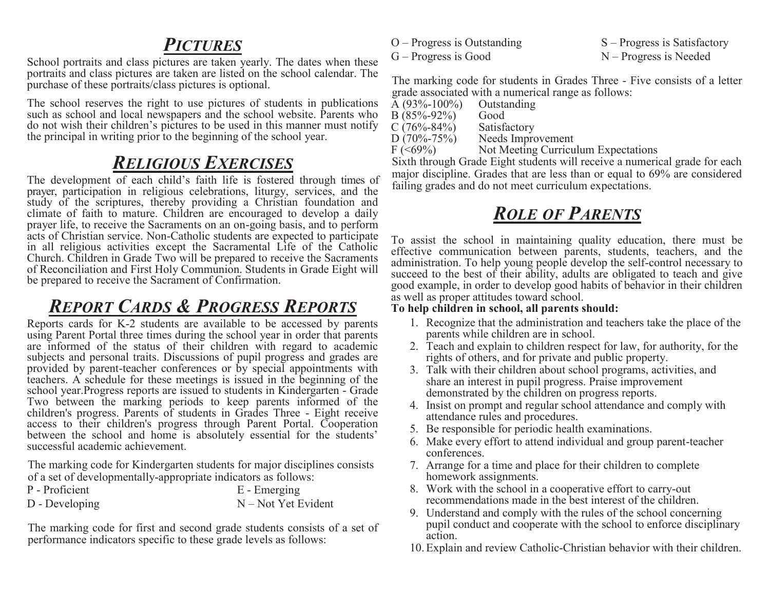#### *PICTURES*

School portraits and class pictures are taken yearly. The dates when these portraits and class pictures are taken are listed on the school calendar. The purchase of these portraits/class pictures is optional.

The school reserves the right to use pictures of students in publications such as school and local newspapers and the school website. Parents who do not wish their children's pictures to be used in this manner must notify the principal in writing prior to the beginning of the school year.

### *RELIGIOUS EXERCISES*

The development of each child's faith life is fostered through times of prayer, participation in religious celebrations, liturgy, services, and the study of the scriptures, thereby providing a Christian foundation and climate of faith to mature. Children are encouraged to develop a daily prayer life, to receive the Sacraments on an on-going basis, and to perform acts of Christian service. Non-Catholic students are expected to participate in all religious activities except the Sacramental Life of the Catholic Church. Children in Grade Two will be prepared to receive the Sacraments of Reconciliation and First Holy Communion. Students in Grade Eight will be prepared to receive the Sacrament of Confirmation.

### *REPORT CARDS & PROGRESS REPORTS*

Reports cards for K-2 students are available to be accessed by parents using Parent Portal three times during the school year in order that parents are informed of the status of their children with regard to academic subjects and personal traits. Discussions of pupil progress and grades are provided by parent-teacher conferences or by special appointments with teachers. A schedule for these meetings is issued in the beginning of the school year.Progress reports are issued to students in Kindergarten - Grade Two between the marking periods to keep parents informed of the children's progress. Parents of students in Grades Three - Eight receive access to their children's progress through Parent Portal. Cooperation between the school and home is absolutely essential for the students' successful academic achievement.

The marking code for Kindergarten students for major disciplines consists of a set of developmentally-appropriate indicators as follows:

| P - Proficient |  |  | E - Emerging          |
|----------------|--|--|-----------------------|
| D - Developing |  |  | $N - Not$ Yet Evident |

The marking code for first and second grade students consists of a set of performance indicators specific to these grade levels as follows:

 $O -$  Progress is Outstanding  $S -$  Progress is Satisfactory  $G -$  Progress is Good  $N -$  Progress is Needed

The marking code for students in Grades Three - Five consists of a letter grade associated with a numerical range as follows:

| A $(93\% - 100\%)$ | Outstanding       |
|--------------------|-------------------|
| $B(85% - 92%)$     | Good              |
| C $(76\% - 84\%)$  | Satisfactory      |
| $D(70\% - 75\%)$   | Needs Improvement |

 $F$  (<69%) Not Meeting Curriculum Expectations

Sixth through Grade Eight students will receive a numerical grade for each major discipline. Grades that are less than or equal to 69% are considered failing grades and do not meet curriculum expectations.

## *ROLE OF PARENTS*

To assist the school in maintaining quality education, there must be effective communication between parents, students, teachers, and the administration. To help young people develop the self-control necessary to succeed to the best of their ability, adults are obligated to teach and give good example, in order to develop good habits of behavior in their children as well as proper attitudes toward school.

#### **To help children in school, all parents should:**

- 1. Recognize that the administration and teachers take the place of the parents while children are in school.
- 2. Teach and explain to children respect for law, for authority, for the rights of others, and for private and public property.
- 3. Talk with their children about school programs, activities, and share an interest in pupil progress. Praise improvement demonstrated by the children on progress reports.
- 4. Insist on prompt and regular school attendance and comply with attendance rules and procedures.
- 5. Be responsible for periodic health examinations.
- 6. Make every effort to attend individual and group parent-teacher conferences.
- 7. Arrange for a time and place for their children to complete homework assignments.
- 8. Work with the school in a cooperative effort to carry-out recommendations made in the best interest of the children.
- 9. Understand and comply with the rules of the school concerning pupil conduct and cooperate with the school to enforce disciplinary action.
- 10.Explain and review Catholic-Christian behavior with their children.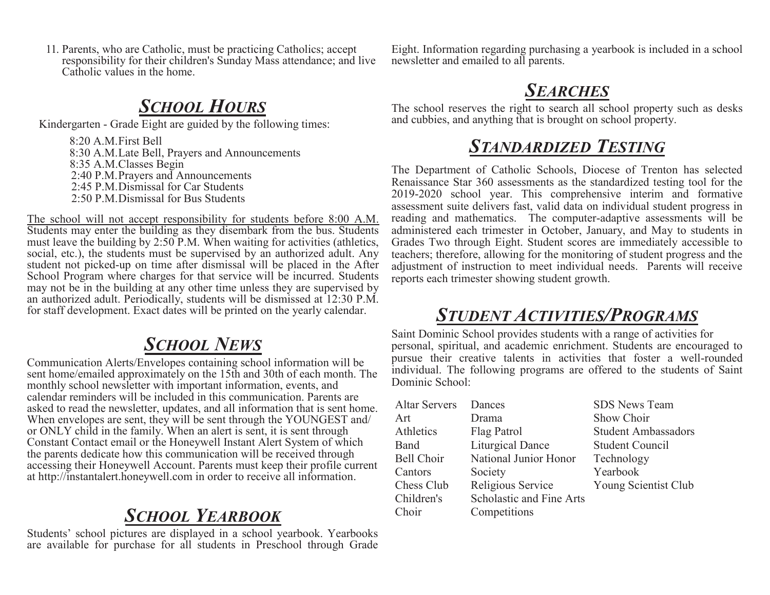11. Parents, who are Catholic, must be practicing Catholics; accept responsibility for their children's Sunday Mass attendance; and live Catholic values in the home.

## *SCHOOL HOURS*

Kindergarten - Grade Eight are guided by the following times:

8:20 A.M.First Bell 8:30 A.M.Late Bell, Prayers and Announcements 8:35 A.M.Classes Begin 2:40 P.M.Prayers and Announcements 2:45 P.M.Dismissal for Car Students 2:50 P.M.Dismissal for Bus Students

The school will not accept responsibility for students before 8:00 A.M. Students may enter the building as they disembark from the bus. Students must leave the building by 2:50 P.M. When waiting for activities (athletics, social, etc.), the students must be supervised by an authorized adult. Any student not picked-up on time after dismissal will be placed in the After School Program where charges for that service will be incurred. Students may not be in the building at any other time unless they are supervised by an authorized adult. Periodically, students will be dismissed at 12:30 P.M. for staff development. Exact dates will be printed on the yearly calendar.

## *SCHOOL NEWS*

Communication Alerts/Envelopes containing school information will be sent home/emailed approximately on the 15th and 30th of each month. The monthly school newsletter with important information, events, and calendar reminders will be included in this communication. Parents are asked to read the newsletter, updates, and all information that is sent home. When envelopes are sent, they will be sent through the YOUNGEST and/ or ONLY child in the family. When an alert is sent, it is sent through Constant Contact email or the Honeywell Instant Alert System of which the parents dedicate how this communication will be received through accessing their Honeywell Account. Parents must keep their profile current at http://instantalert.honeywell.com in order to receive all information.

## *SCHOOL YEARBOOK*

Students' school pictures are displayed in a school yearbook. Yearbooks are available for purchase for all students in Preschool through Grade

Eight. Information regarding purchasing a yearbook is included in a school newsletter and emailed to all parents.

## *SEARCHES*

The school reserves the right to search all school property such as desks and cubbies, and anything that is brought on school property.

## *STANDARDIZED TESTING*

The Department of Catholic Schools, Diocese of Trenton has selected Renaissance Star 360 assessments as the standardized testing tool for the 2019-2020 school year. This comprehensive interim and formative assessment suite delivers fast, valid data on individual student progress in reading and mathematics. The computer-adaptive assessments will be administered each trimester in October, January, and May to students in Grades Two through Eight. Student scores are immediately accessible to teachers; therefore, allowing for the monitoring of student progress and the adjustment of instruction to meet individual needs. Parents will receive reports each trimester showing student growth.

## *STUDENT ACTIVITIES/PROGRAMS*

Saint Dominic School provides students with a range of activities for personal, spiritual, and academic enrichment. Students are encouraged to pursue their creative talents in activities that foster a well-rounded individual. The following programs are offered to the students of Saint Dominic School:

| <b>Altar Servers</b> | Dances                          | <b>SDS News Team</b>       |
|----------------------|---------------------------------|----------------------------|
| Art                  | Drama                           | Show Choir                 |
| Athletics            | Flag Patrol                     | <b>Student Ambassadors</b> |
| Band                 | <b>Liturgical Dance</b>         | <b>Student Council</b>     |
| Bell Choir           | National Junior Honor           | Technology                 |
| Cantors              | Society                         | Yearbook                   |
| Chess Club           | Religious Service               | Young Scientist Club       |
| Children's           | <b>Scholastic and Fine Arts</b> |                            |
| Choir                | Competitions                    |                            |